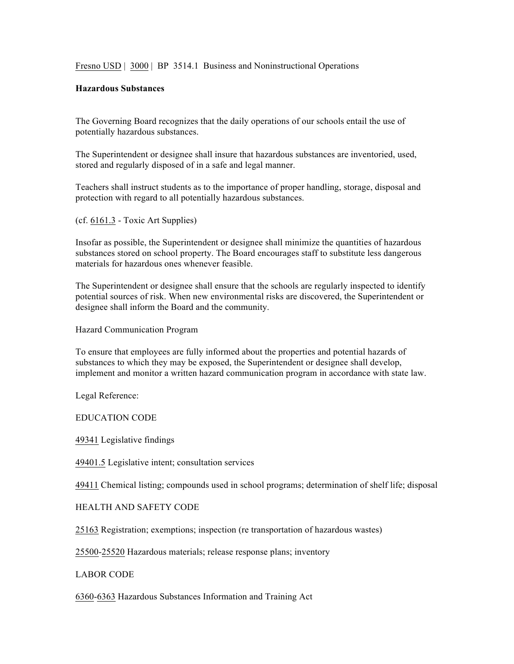Fresno USD | 3000 | BP 3514.1 Business and Noninstructional Operations

## **Hazardous Substances**

The Governing Board recognizes that the daily operations of our schools entail the use of potentially hazardous substances.

The Superintendent or designee shall insure that hazardous substances are inventoried, used, stored and regularly disposed of in a safe and legal manner.

Teachers shall instruct students as to the importance of proper handling, storage, disposal and protection with regard to all potentially hazardous substances.

(cf. 6161.3 - Toxic Art Supplies)

Insofar as possible, the Superintendent or designee shall minimize the quantities of hazardous substances stored on school property. The Board encourages staff to substitute less dangerous materials for hazardous ones whenever feasible.

The Superintendent or designee shall ensure that the schools are regularly inspected to identify potential sources of risk. When new environmental risks are discovered, the Superintendent or designee shall inform the Board and the community.

Hazard Communication Program

To ensure that employees are fully informed about the properties and potential hazards of substances to which they may be exposed, the Superintendent or designee shall develop, implement and monitor a written hazard communication program in accordance with state law.

Legal Reference:

EDUCATION CODE

49341 Legislative findings

49401.5 Legislative intent; consultation services

49411 Chemical listing; compounds used in school programs; determination of shelf life; disposal

## HEALTH AND SAFETY CODE

25163 Registration; exemptions; inspection (re transportation of hazardous wastes)

25500-25520 Hazardous materials; release response plans; inventory

LABOR CODE

6360-6363 Hazardous Substances Information and Training Act